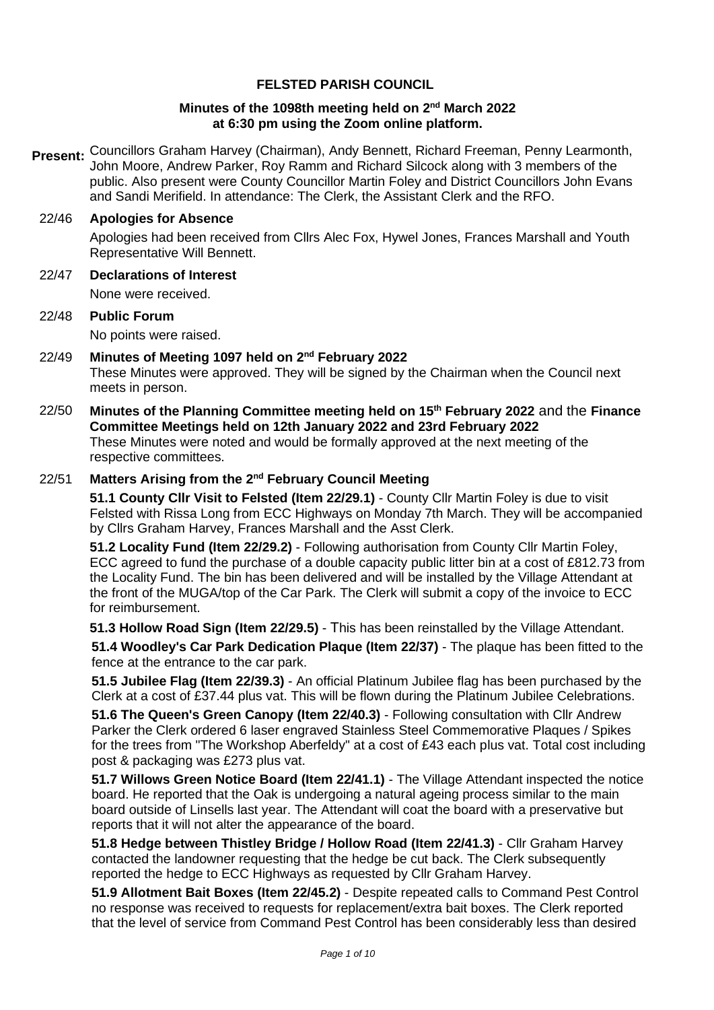## **FELSTED PARISH COUNCIL**

#### **Minutes of the 1098th meeting held on 2<sup>nd</sup> March 2022 at 6:30 pm using the Zoom online platform.**

**Present:** Councillors Graham Harvey (Chairman), Andy Bennett, Richard Freeman, Penny Learmonth, John Moore, Andrew Parker, Roy Ramm and Richard Silcock along with 3 members of the public. Also present were County Councillor Martin Foley and District Councillors John Evans and Sandi Merifield. In attendance: The Clerk, the Assistant Clerk and the RFO.

## 22/46 **Apologies for Absence**

Apologies had been received from Cllrs Alec Fox, Hywel Jones, Frances Marshall and Youth Representative Will Bennett.

22/47 **Declarations of Interest**

None were received.

- 22/48 **Public Forum**  No points were raised.
- 22/49 **Minutes of Meeting 1097 held on 2 nd February 2022**  These Minutes were approved. They will be signed by the Chairman when the Council next meets in person.
- 22/50 **Minutes of the Planning Committee meeting held on 15th February 2022** and the **Finance Committee Meetings held on 12th January 2022 and 23rd February 2022**  These Minutes were noted and would be formally approved at the next meeting of the respective committees.

## 22/51 **Matters Arising from the 2 nd February Council Meeting**

**51.1 County Cllr Visit to Felsted (Item 22/29.1)** - County Cllr Martin Foley is due to visit Felsted with Rissa Long from ECC Highways on Monday 7th March. They will be accompanied by Cllrs Graham Harvey, Frances Marshall and the Asst Clerk.

**51.2 Locality Fund (Item 22/29.2)** - Following authorisation from County Cllr Martin Foley, ECC agreed to fund the purchase of a double capacity public litter bin at a cost of £812.73 from the Locality Fund. The bin has been delivered and will be installed by the Village Attendant at the front of the MUGA/top of the Car Park. The Clerk will submit a copy of the invoice to ECC for reimbursement.

**51.3 Hollow Road Sign (Item 22/29.5)** - This has been reinstalled by the Village Attendant.

**51.4 Woodley's Car Park Dedication Plaque (Item 22/37)** - The plaque has been fitted to the fence at the entrance to the car park.

**51.5 Jubilee Flag (Item 22/39.3)** - An official Platinum Jubilee flag has been purchased by the Clerk at a cost of £37.44 plus vat. This will be flown during the Platinum Jubilee Celebrations.

**51.6 The Queen's Green Canopy (Item 22/40.3)** - Following consultation with Cllr Andrew Parker the Clerk ordered 6 laser engraved Stainless Steel Commemorative Plaques / Spikes for the trees from "The Workshop Aberfeldy" at a cost of £43 each plus vat. Total cost including post & packaging was £273 plus vat.

**51.7 Willows Green Notice Board (Item 22/41.1)** - The Village Attendant inspected the notice board. He reported that the Oak is undergoing a natural ageing process similar to the main board outside of Linsells last year. The Attendant will coat the board with a preservative but reports that it will not alter the appearance of the board.

**51.8 Hedge between Thistley Bridge / Hollow Road (Item 22/41.3)** - Cllr Graham Harvey contacted the landowner requesting that the hedge be cut back. The Clerk subsequently reported the hedge to ECC Highways as requested by Cllr Graham Harvey.

**51.9 Allotment Bait Boxes (Item 22/45.2)** - Despite repeated calls to Command Pest Control no response was received to requests for replacement/extra bait boxes. The Clerk reported that the level of service from Command Pest Control has been considerably less than desired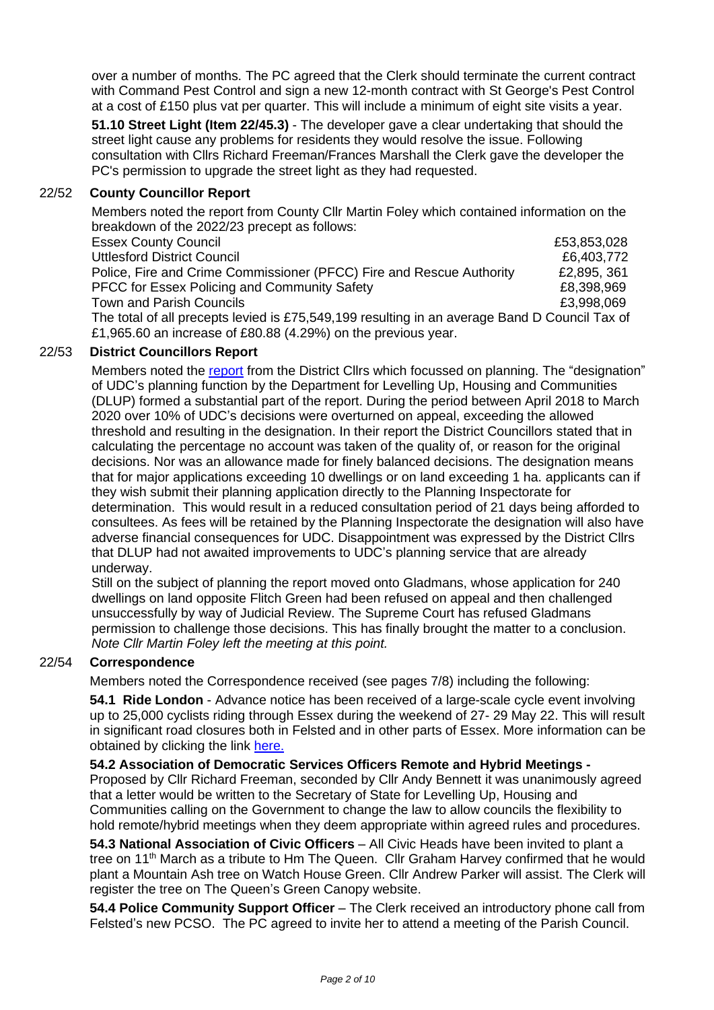over a number of months. The PC agreed that the Clerk should terminate the current contract with Command Pest Control and sign a new 12-month contract with St George's Pest Control at a cost of £150 plus vat per quarter. This will include a minimum of eight site visits a year.

**51.10 Street Light (Item 22/45.3)** - The developer gave a clear undertaking that should the street light cause any problems for residents they would resolve the issue. Following consultation with Cllrs Richard Freeman/Frances Marshall the Clerk gave the developer the PC's permission to upgrade the street light as they had requested.

## 22/52 **County Councillor Report**

Members noted the report from County Cllr Martin Foley which contained information on the breakdown of the 2022/23 precept as follows:

| <b>Essex County Council</b>                                                                   | £53,853,028 |
|-----------------------------------------------------------------------------------------------|-------------|
| <b>Uttlesford District Council</b>                                                            | £6,403,772  |
| Police, Fire and Crime Commissioner (PFCC) Fire and Rescue Authority                          | £2,895, 361 |
| <b>PFCC for Essex Policing and Community Safety</b>                                           | £8,398,969  |
| Town and Parish Councils                                                                      | £3.998.069  |
| The total of all precepts levied is £75,549,199 resulting in an average Band D Council Tax of |             |

£1,965.60 an increase of £80.88 (4.29%) on the previous year.

## 22/53 **District Councillors Report**

Members noted the [report](https://www.felsted-pc.gov.uk/wp-content/uploads/DC-Report-March-2022-1.pdf) from the District Cllrs which focussed on planning. The "designation" of UDC's planning function by the Department for Levelling Up, Housing and Communities (DLUP) formed a substantial part of the report. During the period between April 2018 to March 2020 over 10% of UDC's decisions were overturned on appeal, exceeding the allowed threshold and resulting in the designation. In their report the District Councillors stated that in calculating the percentage no account was taken of the quality of, or reason for the original decisions. Nor was an allowance made for finely balanced decisions. The designation means that for major applications exceeding 10 dwellings or on land exceeding 1 ha. applicants can if they wish submit their planning application directly to the Planning Inspectorate for determination. This would result in a reduced consultation period of 21 days being afforded to consultees. As fees will be retained by the Planning Inspectorate the designation will also have adverse financial consequences for UDC. Disappointment was expressed by the District Cllrs that DLUP had not awaited improvements to UDC's planning service that are already underway.

Still on the subject of planning the report moved onto Gladmans, whose application for 240 dwellings on land opposite Flitch Green had been refused on appeal and then challenged unsuccessfully by way of Judicial Review. The Supreme Court has refused Gladmans permission to challenge those decisions. This has finally brought the matter to a conclusion. *Note Cllr Martin Foley left the meeting at this point.*

## 22/54 **Correspondence**

Members noted the Correspondence received (see pages 7/8) including the following:

**54.1 Ride London** - Advance notice has been received of a large-scale cycle event involving up to 25,000 cyclists riding through Essex during the weekend of 27- 29 May 22. This will result in significant road closures both in Felsted and in other parts of Essex. More information can be obtained by clicking the link [here.](https://www.ridelondon.co.uk/)

#### **54.2 Association of Democratic Services Officers Remote and Hybrid Meetings -**

Proposed by Cllr Richard Freeman, seconded by Cllr Andy Bennett it was unanimously agreed that a letter would be written to the Secretary of State for Levelling Up, Housing and Communities calling on the Government to change the law to allow councils the flexibility to hold remote/hybrid meetings when they deem appropriate within agreed rules and procedures.

**54.3 National Association of Civic Officers** – All Civic Heads have been invited to plant a tree on 11th March as a tribute to Hm The Queen. Cllr Graham Harvey confirmed that he would plant a Mountain Ash tree on Watch House Green. Cllr Andrew Parker will assist. The Clerk will register the tree on The Queen's Green Canopy website.

**54.4 Police Community Support Officer** – The Clerk received an introductory phone call from Felsted's new PCSO. The PC agreed to invite her to attend a meeting of the Parish Council.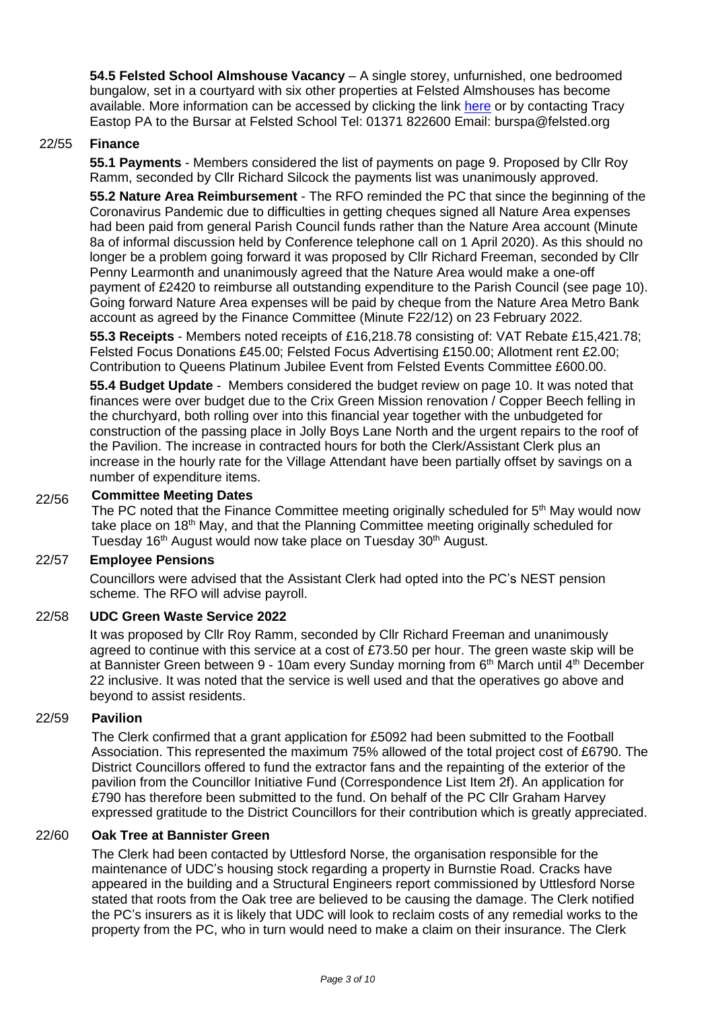**54.5 Felsted School Almshouse Vacancy** – A single storey, unfurnished, one bedroomed bungalow, set in a courtyard with six other properties at Felsted Almshouses has become available. More information can be accessed by clicking the link [here](https://www.felsted-pc.gov.uk/news/felsted-almshouse-charity-accommodation-available/) or by contacting Tracy Eastop PA to the Bursar at Felsted School Tel: 01371 822600 Email: burspa@felsted.org

## 22/55 **Finance**

**55.1 Payments** - Members considered the list of payments on page 9. Proposed by Cllr Roy Ramm, seconded by Cllr Richard Silcock the payments list was unanimously approved.

**55.2 Nature Area Reimbursement** - The RFO reminded the PC that since the beginning of the Coronavirus Pandemic due to difficulties in getting cheques signed all Nature Area expenses had been paid from general Parish Council funds rather than the Nature Area account (Minute 8a of informal discussion held by Conference telephone call on 1 April 2020). As this should no longer be a problem going forward it was proposed by Cllr Richard Freeman, seconded by Cllr Penny Learmonth and unanimously agreed that the Nature Area would make a one-off payment of £2420 to reimburse all outstanding expenditure to the Parish Council (see page 10). Going forward Nature Area expenses will be paid by cheque from the Nature Area Metro Bank account as agreed by the Finance Committee (Minute F22/12) on 23 February 2022.

**55.3 Receipts** - Members noted receipts of £16,218.78 consisting of: VAT Rebate £15,421.78; Felsted Focus Donations £45.00; Felsted Focus Advertising £150.00; Allotment rent £2.00; Contribution to Queens Platinum Jubilee Event from Felsted Events Committee £600.00.

**55.4 Budget Update** - Members considered the budget review on page 10. It was noted that finances were over budget due to the Crix Green Mission renovation / Copper Beech felling in the churchyard, both rolling over into this financial year together with the unbudgeted for construction of the passing place in Jolly Boys Lane North and the urgent repairs to the roof of the Pavilion. The increase in contracted hours for both the Clerk/Assistant Clerk plus an increase in the hourly rate for the Village Attendant have been partially offset by savings on a number of expenditure items.

#### 22/56 **Committee Meeting Dates**

The PC noted that the Finance Committee meeting originally scheduled for 5<sup>th</sup> May would now take place on 18<sup>th</sup> May, and that the Planning Committee meeting originally scheduled for Tuesday 16<sup>th</sup> August would now take place on Tuesday 30<sup>th</sup> August.

## 22/57 **Employee Pensions**

Councillors were advised that the Assistant Clerk had opted into the PC's NEST pension scheme. The RFO will advise payroll.

#### 22/58 **UDC Green Waste Service 2022**

It was proposed by Cllr Roy Ramm, seconded by Cllr Richard Freeman and unanimously agreed to continue with this service at a cost of £73.50 per hour. The green waste skip will be at Bannister Green between 9 - 10am every Sunday morning from 6<sup>th</sup> March until 4<sup>th</sup> December 22 inclusive. It was noted that the service is well used and that the operatives go above and beyond to assist residents.

### 22/59 **Pavilion**

The Clerk confirmed that a grant application for £5092 had been submitted to the Football Association. This represented the maximum 75% allowed of the total project cost of £6790. The District Councillors offered to fund the extractor fans and the repainting of the exterior of the pavilion from the Councillor Initiative Fund (Correspondence List Item 2f). An application for £790 has therefore been submitted to the fund. On behalf of the PC Cllr Graham Harvey expressed gratitude to the District Councillors for their contribution which is greatly appreciated.

### 22/60 **Oak Tree at Bannister Green**

The Clerk had been contacted by Uttlesford Norse, the organisation responsible for the maintenance of UDC's housing stock regarding a property in Burnstie Road. Cracks have appeared in the building and a Structural Engineers report commissioned by Uttlesford Norse stated that roots from the Oak tree are believed to be causing the damage. The Clerk notified the PC's insurers as it is likely that UDC will look to reclaim costs of any remedial works to the property from the PC, who in turn would need to make a claim on their insurance. The Clerk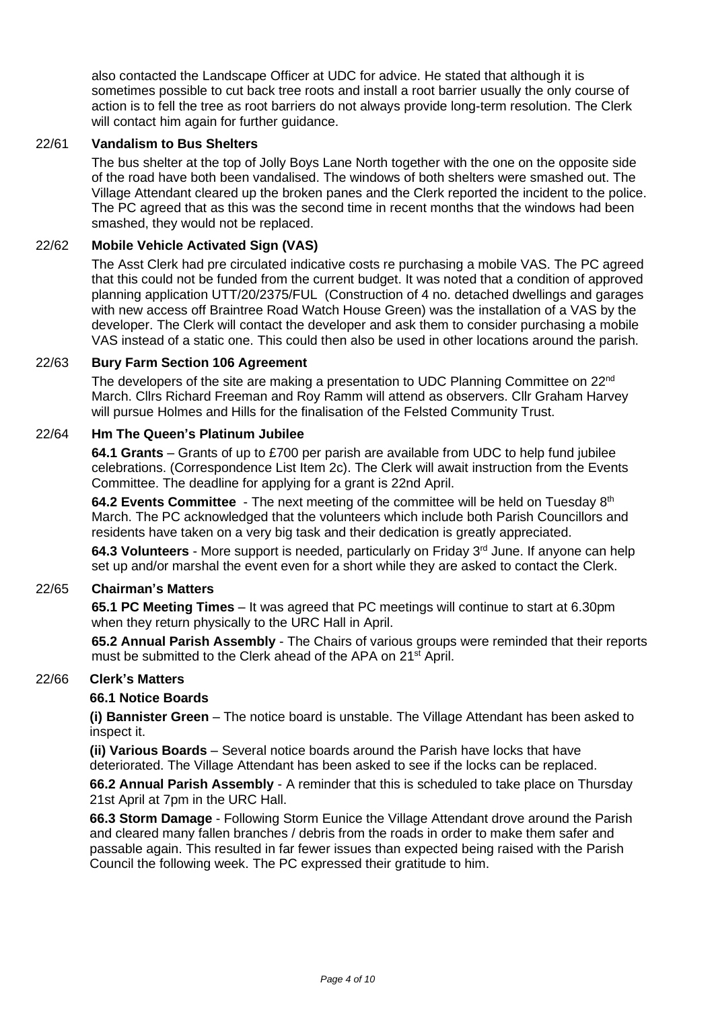also contacted the Landscape Officer at UDC for advice. He stated that although it is sometimes possible to cut back tree roots and install a root barrier usually the only course of action is to fell the tree as root barriers do not always provide long-term resolution. The Clerk will contact him again for further guidance.

## 22/61 **Vandalism to Bus Shelters**

The bus shelter at the top of Jolly Boys Lane North together with the one on the opposite side of the road have both been vandalised. The windows of both shelters were smashed out. The Village Attendant cleared up the broken panes and the Clerk reported the incident to the police. The PC agreed that as this was the second time in recent months that the windows had been smashed, they would not be replaced.

#### 22/62 **Mobile Vehicle Activated Sign (VAS)**

The Asst Clerk had pre circulated indicative costs re purchasing a mobile VAS. The PC agreed that this could not be funded from the current budget. It was noted that a condition of approved planning application UTT/20/2375/FUL (Construction of 4 no. detached dwellings and garages with new access off Braintree Road Watch House Green) was the installation of a VAS by the developer. The Clerk will contact the developer and ask them to consider purchasing a mobile VAS instead of a static one. This could then also be used in other locations around the parish.

#### 22/63 **Bury Farm Section 106 Agreement**

The developers of the site are making a presentation to UDC Planning Committee on 22<sup>nd</sup> March. Cllrs Richard Freeman and Roy Ramm will attend as observers. Cllr Graham Harvey will pursue Holmes and Hills for the finalisation of the Felsted Community Trust.

#### 22/64 **Hm The Queen's Platinum Jubilee**

**64.1 Grants** – Grants of up to £700 per parish are available from UDC to help fund jubilee celebrations. (Correspondence List Item 2c). The Clerk will await instruction from the Events Committee. The deadline for applying for a grant is 22nd April.

**64.2 Events Committee** - The next meeting of the committee will be held on Tuesday 8th March. The PC acknowledged that the volunteers which include both Parish Councillors and residents have taken on a very big task and their dedication is greatly appreciated.

**64.3 Volunteers** - More support is needed, particularly on Friday 3rd June. If anyone can help set up and/or marshal the event even for a short while they are asked to contact the Clerk.

#### 22/65 **Chairman's Matters**

**65.1 PC Meeting Times** – It was agreed that PC meetings will continue to start at 6.30pm when they return physically to the URC Hall in April.

**65.2 Annual Parish Assembly** - The Chairs of various groups were reminded that their reports must be submitted to the Clerk ahead of the APA on 21<sup>st</sup> April.

## 22/66 **Clerk's Matters**

#### **66.1 Notice Boards**

**(i) Bannister Green** – The notice board is unstable. The Village Attendant has been asked to inspect it.

**(ii) Various Boards** – Several notice boards around the Parish have locks that have deteriorated. The Village Attendant has been asked to see if the locks can be replaced.

**66.2 Annual Parish Assembly** - A reminder that this is scheduled to take place on Thursday 21st April at 7pm in the URC Hall.

**66.3 Storm Damage** - Following Storm Eunice the Village Attendant drove around the Parish and cleared many fallen branches / debris from the roads in order to make them safer and passable again. This resulted in far fewer issues than expected being raised with the Parish Council the following week. The PC expressed their gratitude to him.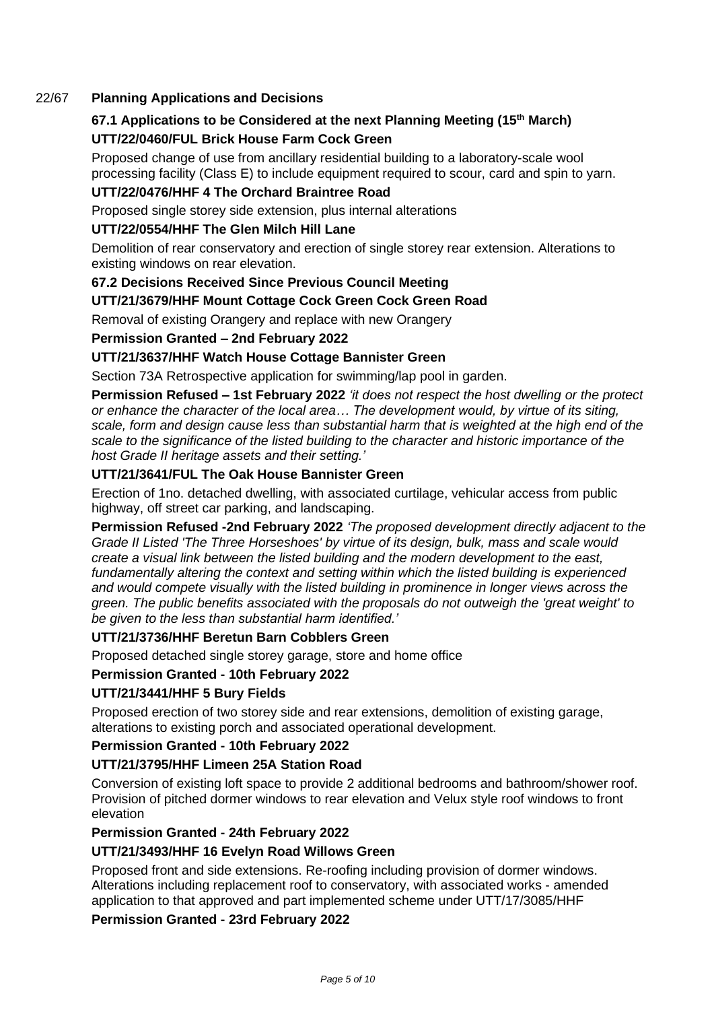## 22/67 **Planning Applications and Decisions**

# **67.1 Applications to be Considered at the next Planning Meeting (15th March) UTT/22/0460/FUL Brick House Farm Cock Green**

Proposed change of use from ancillary residential building to a laboratory-scale wool processing facility (Class E) to include equipment required to scour, card and spin to yarn.

## **UTT/22/0476/HHF 4 The Orchard Braintree Road**

Proposed single storey side extension, plus internal alterations

## **UTT/22/0554/HHF The Glen Milch Hill Lane**

Demolition of rear conservatory and erection of single storey rear extension. Alterations to existing windows on rear elevation.

## **67.2 Decisions Received Since Previous Council Meeting**

## **UTT/21/3679/HHF Mount Cottage Cock Green Cock Green Road**

Removal of existing Orangery and replace with new Orangery

## **Permission Granted – 2nd February 2022**

## **UTT/21/3637/HHF Watch House Cottage Bannister Green**

Section 73A Retrospective application for swimming/lap pool in garden.

**Permission Refused – 1st February 2022** *'it does not respect the host dwelling or the protect or enhance the character of the local area… The development would, by virtue of its siting, scale, form and design cause less than substantial harm that is weighted at the high end of the scale to the significance of the listed building to the character and historic importance of the host Grade II heritage assets and their setting.'*

## **UTT/21/3641/FUL The Oak House Bannister Green**

Erection of 1no. detached dwelling, with associated curtilage, vehicular access from public highway, off street car parking, and landscaping.

**Permission Refused -2nd February 2022** *'The proposed development directly adjacent to the Grade II Listed 'The Three Horseshoes' by virtue of its design, bulk, mass and scale would create a visual link between the listed building and the modern development to the east, fundamentally altering the context and setting within which the listed building is experienced and would compete visually with the listed building in prominence in longer views across the green. The public benefits associated with the proposals do not outweigh the 'great weight' to be given to the less than substantial harm identified.'*

## **UTT/21/3736/HHF Beretun Barn Cobblers Green**

Proposed detached single storey garage, store and home office

## **Permission Granted - 10th February 2022**

## **UTT/21/3441/HHF 5 Bury Fields**

Proposed erection of two storey side and rear extensions, demolition of existing garage, alterations to existing porch and associated operational development.

## **Permission Granted - 10th February 2022**

## **UTT/21/3795/HHF Limeen 25A Station Road**

Conversion of existing loft space to provide 2 additional bedrooms and bathroom/shower roof. Provision of pitched dormer windows to rear elevation and Velux style roof windows to front elevation

## **Permission Granted - 24th February 2022**

## **UTT/21/3493/HHF 16 Evelyn Road Willows Green**

Proposed front and side extensions. Re-roofing including provision of dormer windows. Alterations including replacement roof to conservatory, with associated works - amended application to that approved and part implemented scheme under UTT/17/3085/HHF

## **Permission Granted - 23rd February 2022**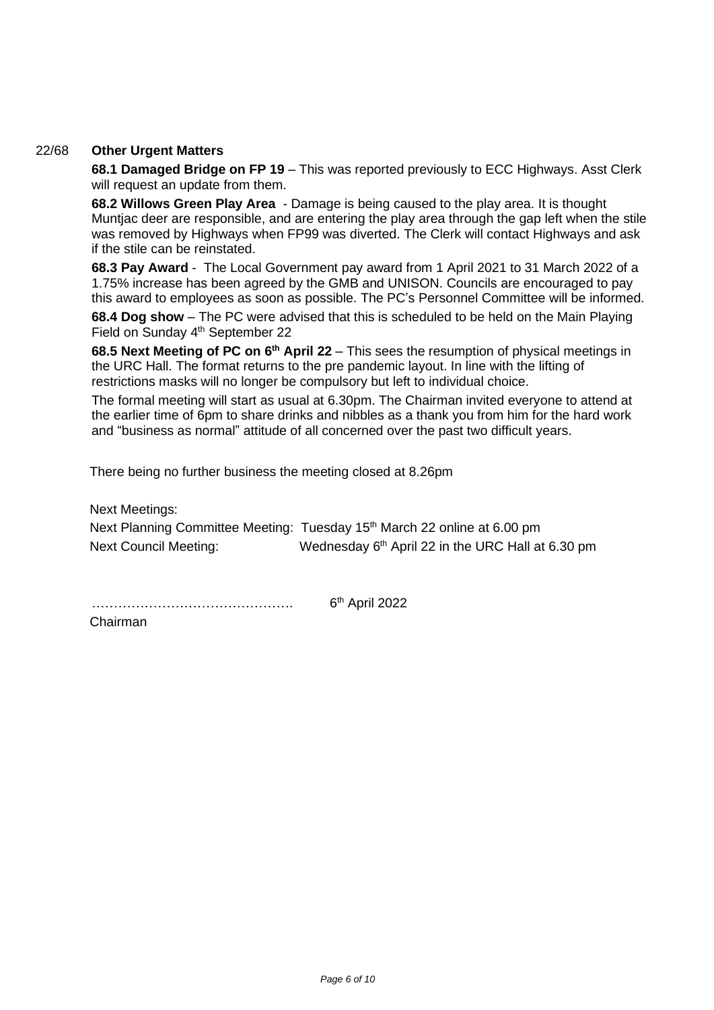### 22/68 **Other Urgent Matters**

**68.1 Damaged Bridge on FP 19** – This was reported previously to ECC Highways. Asst Clerk will request an update from them.

**68.2 Willows Green Play Area** - Damage is being caused to the play area. It is thought Muntjac deer are responsible, and are entering the play area through the gap left when the stile was removed by Highways when FP99 was diverted. The Clerk will contact Highways and ask if the stile can be reinstated.

**68.3 Pay Award** - The Local Government pay award from 1 April 2021 to 31 March 2022 of a 1.75% increase has been agreed by the GMB and UNISON. Councils are encouraged to pay this award to employees as soon as possible. The PC's Personnel Committee will be informed.

**68.4 Dog show** – The PC were advised that this is scheduled to be held on the Main Playing Field on Sunday 4<sup>th</sup> September 22

**68.5 Next Meeting of PC on 6<sup>th</sup> April 22** – This sees the resumption of physical meetings in the URC Hall. The format returns to the pre pandemic layout. In line with the lifting of restrictions masks will no longer be compulsory but left to individual choice.

The formal meeting will start as usual at 6.30pm. The Chairman invited everyone to attend at the earlier time of 6pm to share drinks and nibbles as a thank you from him for the hard work and "business as normal" attitude of all concerned over the past two difficult years.

There being no further business the meeting closed at 8.26pm

Next Meetings: Next Planning Committee Meeting: Tuesday 15<sup>th</sup> March 22 online at 6.00 pm Next Council Meeting: Wednesday 6<sup>th</sup> April 22 in the URC Hall at 6.30 pm

………………………………………. 6 6<sup>th</sup> April 2022

Chairman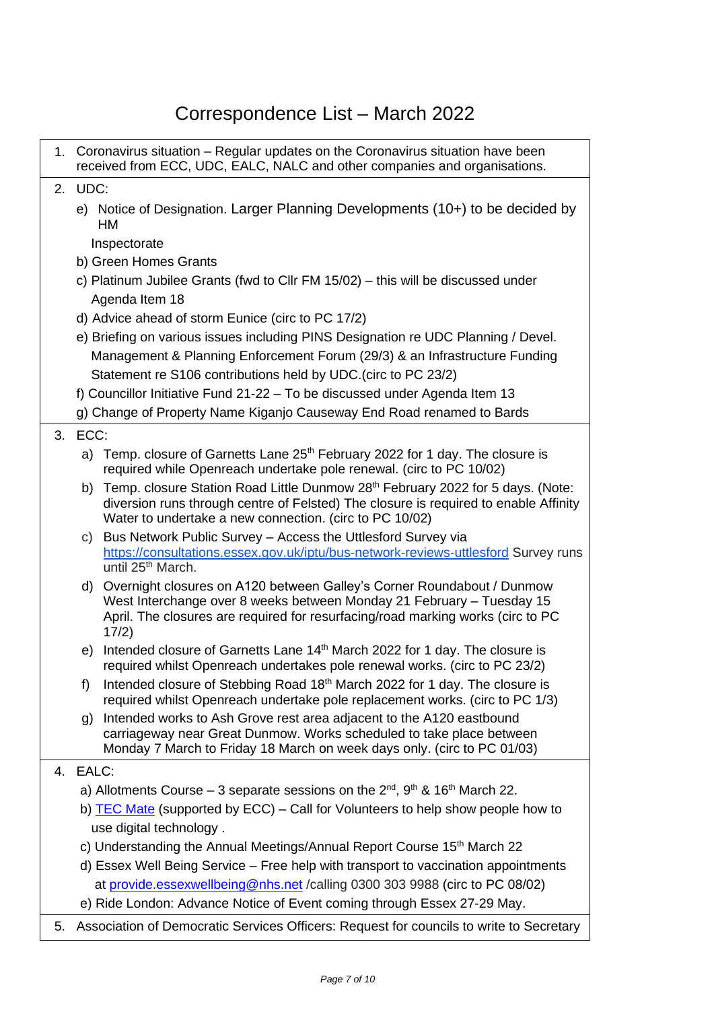# Correspondence List – March 2022

|    |                                                                                     | 1. Coronavirus situation – Regular updates on the Coronavirus situation have been<br>received from ECC, UDC, EALC, NALC and other companies and organisations.                                                                                 |  |  |  |  |  |  |  |
|----|-------------------------------------------------------------------------------------|------------------------------------------------------------------------------------------------------------------------------------------------------------------------------------------------------------------------------------------------|--|--|--|--|--|--|--|
| 2. | UDC:                                                                                |                                                                                                                                                                                                                                                |  |  |  |  |  |  |  |
|    | e) Notice of Designation. Larger Planning Developments (10+) to be decided by<br>НM |                                                                                                                                                                                                                                                |  |  |  |  |  |  |  |
|    | Inspectorate                                                                        |                                                                                                                                                                                                                                                |  |  |  |  |  |  |  |
|    | b) Green Homes Grants                                                               |                                                                                                                                                                                                                                                |  |  |  |  |  |  |  |
|    |                                                                                     | c) Platinum Jubilee Grants (fwd to Cllr FM 15/02) – this will be discussed under                                                                                                                                                               |  |  |  |  |  |  |  |
|    |                                                                                     | Agenda Item 18                                                                                                                                                                                                                                 |  |  |  |  |  |  |  |
|    |                                                                                     | d) Advice ahead of storm Eunice (circ to PC 17/2)                                                                                                                                                                                              |  |  |  |  |  |  |  |
|    |                                                                                     | e) Briefing on various issues including PINS Designation re UDC Planning / Devel.                                                                                                                                                              |  |  |  |  |  |  |  |
|    |                                                                                     | Management & Planning Enforcement Forum (29/3) & an Infrastructure Funding                                                                                                                                                                     |  |  |  |  |  |  |  |
|    |                                                                                     | Statement re S106 contributions held by UDC. (circ to PC 23/2)                                                                                                                                                                                 |  |  |  |  |  |  |  |
|    |                                                                                     | f) Councillor Initiative Fund 21-22 - To be discussed under Agenda Item 13                                                                                                                                                                     |  |  |  |  |  |  |  |
|    |                                                                                     | g) Change of Property Name Kiganjo Causeway End Road renamed to Bards                                                                                                                                                                          |  |  |  |  |  |  |  |
| 3. | ECC:                                                                                |                                                                                                                                                                                                                                                |  |  |  |  |  |  |  |
|    |                                                                                     | a) Temp. closure of Garnetts Lane 25 <sup>th</sup> February 2022 for 1 day. The closure is<br>required while Openreach undertake pole renewal. (circ to PC 10/02)                                                                              |  |  |  |  |  |  |  |
|    | b)                                                                                  | Temp. closure Station Road Little Dunmow 28th February 2022 for 5 days. (Note:<br>diversion runs through centre of Felsted) The closure is required to enable Affinity<br>Water to undertake a new connection. (circ to PC 10/02)              |  |  |  |  |  |  |  |
|    | C)                                                                                  | Bus Network Public Survey - Access the Uttlesford Survey via<br>https://consultations.essex.gov.uk/iptu/bus-network-reviews-uttlesford Survey runs<br>until 25 <sup>th</sup> March.                                                            |  |  |  |  |  |  |  |
|    |                                                                                     | d) Overnight closures on A120 between Galley's Corner Roundabout / Dunmow<br>West Interchange over 8 weeks between Monday 21 February - Tuesday 15<br>April. The closures are required for resurfacing/road marking works (circ to PC<br>17/2) |  |  |  |  |  |  |  |
|    | e)                                                                                  | Intended closure of Garnetts Lane 14 <sup>th</sup> March 2022 for 1 day. The closure is<br>required whilst Openreach undertakes pole renewal works. (circ to PC 23/2)                                                                          |  |  |  |  |  |  |  |
|    | f)                                                                                  | Intended closure of Stebbing Road 18th March 2022 for 1 day. The closure is<br>required whilst Openreach undertake pole replacement works. (circ to PC 1/3)                                                                                    |  |  |  |  |  |  |  |
|    | g)                                                                                  | Intended works to Ash Grove rest area adjacent to the A120 eastbound<br>carriageway near Great Dunmow. Works scheduled to take place between<br>Monday 7 March to Friday 18 March on week days only. (circ to PC 01/03)                        |  |  |  |  |  |  |  |
|    | 4. EALC:                                                                            |                                                                                                                                                                                                                                                |  |  |  |  |  |  |  |
|    |                                                                                     | a) Allotments Course – 3 separate sessions on the $2^{nd}$ , $9^{th}$ & 16 <sup>th</sup> March 22.                                                                                                                                             |  |  |  |  |  |  |  |
|    | b) TEC Mate (supported by ECC) – Call for Volunteers to help show people how to     |                                                                                                                                                                                                                                                |  |  |  |  |  |  |  |
|    | use digital technology.                                                             |                                                                                                                                                                                                                                                |  |  |  |  |  |  |  |
|    | c) Understanding the Annual Meetings/Annual Report Course 15 <sup>th</sup> March 22 |                                                                                                                                                                                                                                                |  |  |  |  |  |  |  |
|    | d) Essex Well Being Service – Free help with transport to vaccination appointments  |                                                                                                                                                                                                                                                |  |  |  |  |  |  |  |
|    |                                                                                     | at provide.essexwellbeing@nhs.net / calling 0300 303 9988 (circ to PC 08/02)                                                                                                                                                                   |  |  |  |  |  |  |  |
|    |                                                                                     | e) Ride London: Advance Notice of Event coming through Essex 27-29 May.                                                                                                                                                                        |  |  |  |  |  |  |  |
|    |                                                                                     | $\sim$ $\sim$ $\sim$ $\sim$ $\sim$ $\sim$                                                                                                                                                                                                      |  |  |  |  |  |  |  |

5. Association of Democratic Services Officers: Request for councils to write to Secretary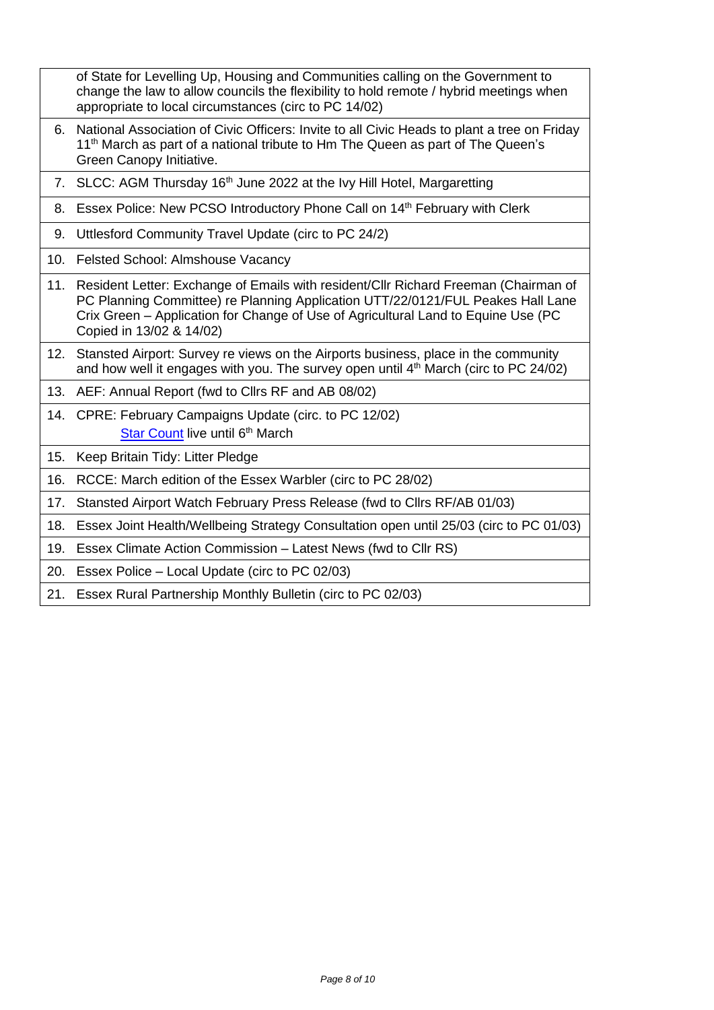|     | of State for Levelling Up, Housing and Communities calling on the Government to<br>change the law to allow councils the flexibility to hold remote / hybrid meetings when<br>appropriate to local circumstances (circ to PC 14/02)                                                          |
|-----|---------------------------------------------------------------------------------------------------------------------------------------------------------------------------------------------------------------------------------------------------------------------------------------------|
| 6.  | National Association of Civic Officers: Invite to all Civic Heads to plant a tree on Friday<br>11 <sup>th</sup> March as part of a national tribute to Hm The Queen as part of The Queen's<br>Green Canopy Initiative.                                                                      |
|     | 7. SLCC: AGM Thursday 16 <sup>th</sup> June 2022 at the Ivy Hill Hotel, Margaretting                                                                                                                                                                                                        |
|     | 8. Essex Police: New PCSO Introductory Phone Call on 14 <sup>th</sup> February with Clerk                                                                                                                                                                                                   |
| 9.  | Uttlesford Community Travel Update (circ to PC 24/2)                                                                                                                                                                                                                                        |
| 10. | Felsted School: Almshouse Vacancy                                                                                                                                                                                                                                                           |
|     | 11. Resident Letter: Exchange of Emails with resident/Cllr Richard Freeman (Chairman of<br>PC Planning Committee) re Planning Application UTT/22/0121/FUL Peakes Hall Lane<br>Crix Green - Application for Change of Use of Agricultural Land to Equine Use (PC<br>Copied in 13/02 & 14/02) |
|     | 12. Stansted Airport: Survey re views on the Airports business, place in the community<br>and how well it engages with you. The survey open until $4th$ March (circ to PC 24/02)                                                                                                            |
| 13. | AEF: Annual Report (fwd to Cllrs RF and AB 08/02)                                                                                                                                                                                                                                           |
|     | 14. CPRE: February Campaigns Update (circ. to PC 12/02)<br>Star Count live until 6th March                                                                                                                                                                                                  |
| 15. | Keep Britain Tidy: Litter Pledge                                                                                                                                                                                                                                                            |
| 16. | RCCE: March edition of the Essex Warbler (circ to PC 28/02)                                                                                                                                                                                                                                 |
| 17. | Stansted Airport Watch February Press Release (fwd to Cllrs RF/AB 01/03)                                                                                                                                                                                                                    |
| 18. | Essex Joint Health/Wellbeing Strategy Consultation open until 25/03 (circ to PC 01/03)                                                                                                                                                                                                      |
| 19. | Essex Climate Action Commission - Latest News (fwd to Cllr RS)                                                                                                                                                                                                                              |
| 20. | Essex Police – Local Update (circ to PC 02/03)                                                                                                                                                                                                                                              |
|     | 21. Essex Rural Partnership Monthly Bulletin (circ to PC 02/03)                                                                                                                                                                                                                             |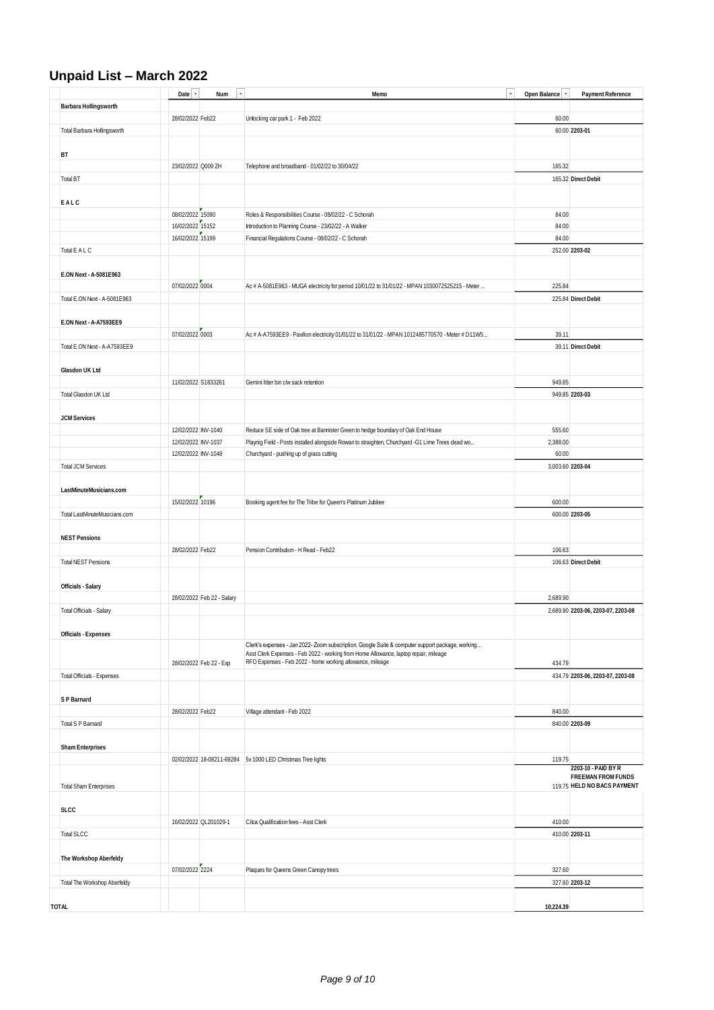# **Unpaid List – March 2022**

|                               | Date $\overline{\phantom{a}}$ | $\mathbf{v}$<br>Num        | $\mathbf{v}$<br>Memo                                                                             | Open Balance<br>$\boldsymbol{\mathrm{v}}$ | <b>Payment Reference</b>                         |
|-------------------------------|-------------------------------|----------------------------|--------------------------------------------------------------------------------------------------|-------------------------------------------|--------------------------------------------------|
| <b>Barbara Hollingsworth</b>  |                               |                            |                                                                                                  |                                           |                                                  |
|                               | 28/02/2022 Feb22              |                            | Unlocking car park 1 - Feb 2022                                                                  | 60.00                                     |                                                  |
| Total Barbara Hollingsworth   |                               |                            |                                                                                                  |                                           | 60.00 2203-01                                    |
|                               |                               |                            |                                                                                                  |                                           |                                                  |
| <b>BT</b>                     |                               |                            |                                                                                                  |                                           |                                                  |
|                               | 23/02/2022 Q009 ZH            |                            | Telephone and broadband - 01/02/22 to 30/04/22                                                   | 165.32                                    |                                                  |
| <b>Total BT</b>               |                               |                            |                                                                                                  |                                           | 165.32 Direct Debit                              |
|                               |                               |                            |                                                                                                  |                                           |                                                  |
| EALC                          |                               |                            |                                                                                                  |                                           |                                                  |
|                               | 08/02/2022 15090              |                            | Roles & Responsibilities Course - 08/02/22 - C Schorah                                           | 84.00                                     |                                                  |
|                               | 16/02/2022 15152              |                            | Introduction to Planning Course - 23/02/22 - A Walker                                            | 84.00                                     |                                                  |
|                               | 16/02/2022 15199              |                            | Financial Regulations Course - 08/02/22 - C Schorah                                              | 84.00                                     |                                                  |
| Total E A L C                 |                               |                            |                                                                                                  |                                           | 252.00 2203-02                                   |
|                               |                               |                            |                                                                                                  |                                           |                                                  |
| E.ON Next - A-5081E963        |                               |                            |                                                                                                  |                                           |                                                  |
|                               | 07/02/2022 0004               |                            | Ac # A-5081E963 - MUGA electricity for period 10/01/22 to 31/01/22 - MPAN 1030072525215 - Meter  | 225.84                                    |                                                  |
| Total E.ON Next - A-5081E963  |                               |                            |                                                                                                  |                                           | 225.84 Direct Debit                              |
|                               |                               |                            |                                                                                                  |                                           |                                                  |
| E.ON Next - A-A7593EE9        |                               |                            |                                                                                                  |                                           |                                                  |
|                               | 07/02/2022 0003               |                            | Ac # A-A7593EE9 - Pavilion electricity 01/01/22 to 31/01/22 - MPAN 1012485770570 - Meter # D11W5 | 39.11                                     |                                                  |
| Total E.ON Next - A-A7593EE9  |                               |                            |                                                                                                  |                                           | 39.11 Direct Debit                               |
|                               |                               |                            |                                                                                                  |                                           |                                                  |
| Glasdon UK Ltd                |                               |                            |                                                                                                  |                                           |                                                  |
|                               | 11/02/2022 S1833261           |                            | Gemini litter bin c/w sack retention                                                             | 949.85                                    |                                                  |
| Total Glasdon UK Ltd          |                               |                            |                                                                                                  |                                           | 949.85 2203-03                                   |
|                               |                               |                            |                                                                                                  |                                           |                                                  |
| <b>JCM Services</b>           |                               |                            |                                                                                                  |                                           |                                                  |
|                               | 12/02/2022 INV-1040           |                            | Reduce SE side of Oak tree at Bannister Green to hedge boundary of Oak End House                 | 555.60                                    |                                                  |
|                               | 12/02/2022 INV-1037           |                            | Playnig Field - Posts installed alongside Rowan to straighten, Churchyard -G1 Lime Trees dead wo | 2,388.00                                  |                                                  |
|                               | 12/02/2022 INV-1048           |                            | Churchyard - pushing up of grass cutting                                                         | 60.00                                     |                                                  |
| <b>Total JCM Services</b>     |                               |                            |                                                                                                  | 3,003.60 2203-04                          |                                                  |
|                               |                               |                            |                                                                                                  |                                           |                                                  |
| LastMinuteMusicians.com       |                               |                            |                                                                                                  |                                           |                                                  |
|                               | 15/02/2022 10196              |                            | Booking agent fee for The Tribe for Queen's Platinum Jubliee                                     | 600.00                                    |                                                  |
| Total LastMinuteMusicians.com |                               |                            |                                                                                                  |                                           | 600.00 2203-05                                   |
|                               |                               |                            |                                                                                                  |                                           |                                                  |
| <b>NEST Pensions</b>          |                               |                            |                                                                                                  |                                           |                                                  |
|                               | 28/02/2022 Feb22              |                            | Pension Contribution - H Read - Feb22                                                            | 106.63                                    |                                                  |
| <b>Total NEST Pensions</b>    |                               |                            |                                                                                                  |                                           | 106.63 Direct Debit                              |
|                               |                               |                            |                                                                                                  |                                           |                                                  |
| <b>Officials - Salary</b>     |                               | 28/02/2022 Feb 22 - Salary |                                                                                                  | 2,689.90                                  |                                                  |
| Total Officials - Salary      |                               |                            |                                                                                                  |                                           | 2,689.90 2203-06, 2203-07, 2203-08               |
|                               |                               |                            |                                                                                                  |                                           |                                                  |
| <b>Officials - Expenses</b>   |                               |                            |                                                                                                  |                                           |                                                  |
|                               |                               |                            | Clerk's expenses - Jan 2022- Zoom subscription, Google Suite & computer support package, working |                                           |                                                  |
|                               |                               |                            | Asst Clerk Expenses - Feb 2022 - working from Home Allowance, laptop repair, mileage             |                                           |                                                  |
|                               |                               | 28/02/2022 Feb 22 - Exp    | RFO Expenses - Feb 2022 - home working allowance, mileage                                        | 434.79                                    |                                                  |
| Total Officials - Expenses    |                               |                            |                                                                                                  |                                           | 434.79 2203-06, 2203-07, 2203-08                 |
|                               |                               |                            |                                                                                                  |                                           |                                                  |
| S P Barnard                   |                               |                            |                                                                                                  |                                           |                                                  |
|                               | 28/02/2022 Feb22              |                            | Village attendant - Feb 2022                                                                     | 840.00                                    |                                                  |
| <b>Total S P Barnard</b>      |                               |                            |                                                                                                  |                                           | 840.00 2203-09                                   |
|                               |                               |                            |                                                                                                  |                                           |                                                  |
| <b>Sham Enterprises</b>       |                               |                            |                                                                                                  |                                           |                                                  |
|                               |                               |                            | 02/02/2022 18-08211-69284 5x 1000 LED Christmas Tree lights                                      | 119.75                                    |                                                  |
|                               |                               |                            |                                                                                                  |                                           | 2203-10 - PAID BY R<br><b>FREEMAN FROM FUNDS</b> |
| <b>Total Sham Enterprises</b> |                               |                            |                                                                                                  |                                           | 119.75 HELD NO BACS PAYMENT                      |
|                               |                               |                            |                                                                                                  |                                           |                                                  |
| <b>SLCC</b>                   |                               |                            |                                                                                                  |                                           |                                                  |
|                               |                               | 16/02/2022 QL201029-1      | Cilca Qualification fees - Asst Clerk                                                            | 410.00                                    |                                                  |
| <b>Total SLCC</b>             |                               |                            |                                                                                                  |                                           | 410.00 2203-11                                   |
|                               |                               |                            |                                                                                                  |                                           |                                                  |
| The Workshop Aberfeldy        |                               |                            |                                                                                                  |                                           |                                                  |
|                               | 07/02/2022 2224               |                            | Plaques for Queens Green Canopy trees                                                            | 327.60                                    |                                                  |
| Total The Workshop Aberfeldy  |                               |                            |                                                                                                  |                                           | 327.60 2203-12                                   |
|                               |                               |                            |                                                                                                  |                                           |                                                  |
| <b>TOTAL</b>                  |                               |                            |                                                                                                  | 10,224.39                                 |                                                  |